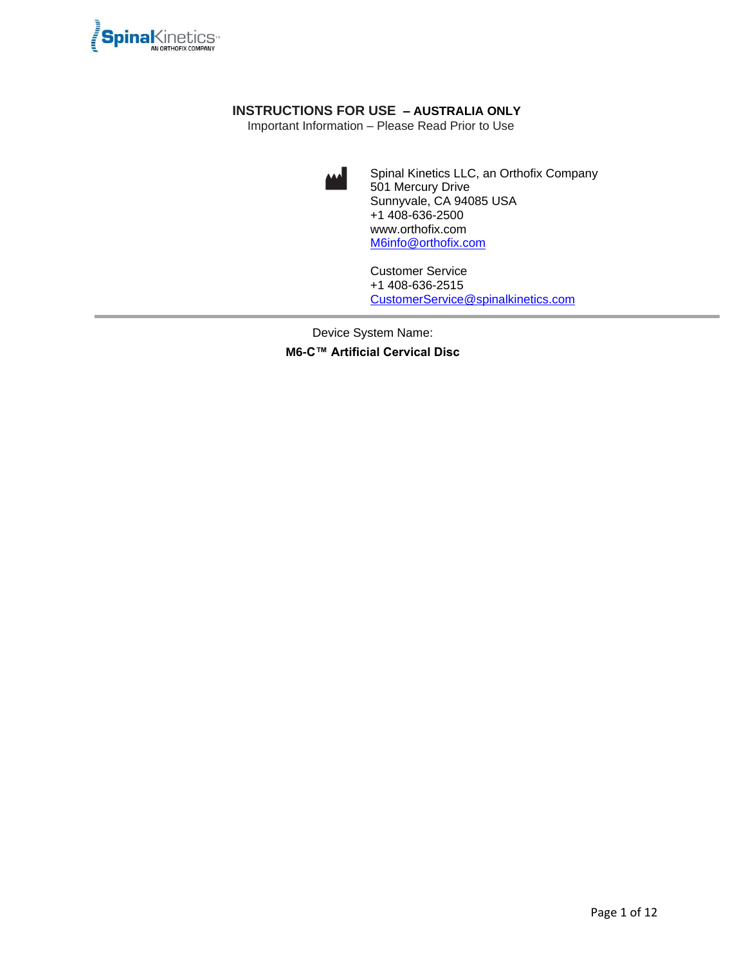

# **INSTRUCTIONS FOR USE – AUSTRALIA ONLY**

Important Information – Please Read Prior to Use



Spinal Kinetics LLC, an Orthofix Company 501 Mercury Drive Sunnyvale, CA 94085 USA +1 408-636-2500 www.orthofix.com [M6info@orthofix.com](mailto:M6info@orthofix.com)

Customer Service +1 408-636-2515 [CustomerService@spinalkinetics.com](mailto:CustomerService@spinalkinetics.com)

Device System Name:

**M6-C™ Artificial Cervical Disc**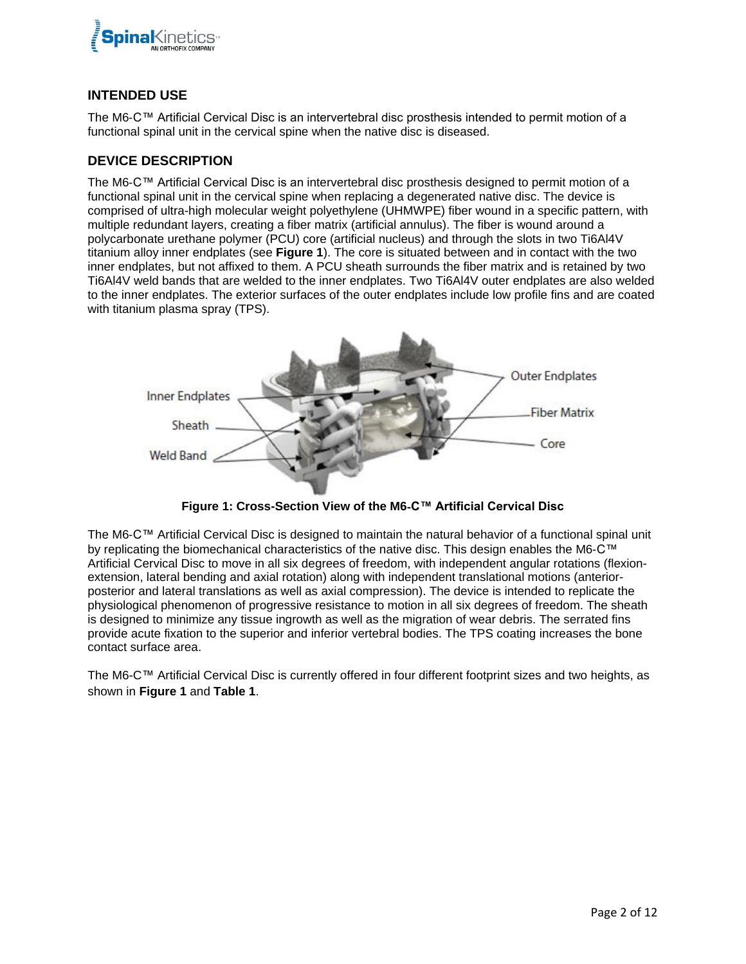

#### **INTENDED USE**

The M6-C™ Artificial Cervical Disc is an intervertebral disc prosthesis intended to permit motion of a functional spinal unit in the cervical spine when the native disc is diseased.

#### **DEVICE DESCRIPTION**

The M6-C™ Artificial Cervical Disc is an intervertebral disc prosthesis designed to permit motion of a functional spinal unit in the cervical spine when replacing a degenerated native disc. The device is comprised of ultra-high molecular weight polyethylene (UHMWPE) fiber wound in a specific pattern, with multiple redundant layers, creating a fiber matrix (artificial annulus). The fiber is wound around a polycarbonate urethane polymer (PCU) core (artificial nucleus) and through the slots in two Ti6Al4V titanium alloy inner endplates (see **Figure 1**). The core is situated between and in contact with the two inner endplates, but not affixed to them. A PCU sheath surrounds the fiber matrix and is retained by two Ti6Al4V weld bands that are welded to the inner endplates. Two Ti6Al4V outer endplates are also welded to the inner endplates. The exterior surfaces of the outer endplates include low profile fins and are coated with titanium plasma spray (TPS).



**Figure 1: Cross-Section View of the M6**-**C™ Artificial Cervical Disc**

The M6-C™ Artificial Cervical Disc is designed to maintain the natural behavior of a functional spinal unit by replicating the biomechanical characteristics of the native disc. This design enables the M6-C™ Artificial Cervical Disc to move in all six degrees of freedom, with independent angular rotations (flexionextension, lateral bending and axial rotation) along with independent translational motions (anteriorposterior and lateral translations as well as axial compression). The device is intended to replicate the physiological phenomenon of progressive resistance to motion in all six degrees of freedom. The sheath is designed to minimize any tissue ingrowth as well as the migration of wear debris. The serrated fins provide acute fixation to the superior and inferior vertebral bodies. The TPS coating increases the bone contact surface area.

The M6-C™ Artificial Cervical Disc is currently offered in four different footprint sizes and two heights, as shown in **[Figure 1](#page-2-0)** and **[Table 1](#page-2-1)**.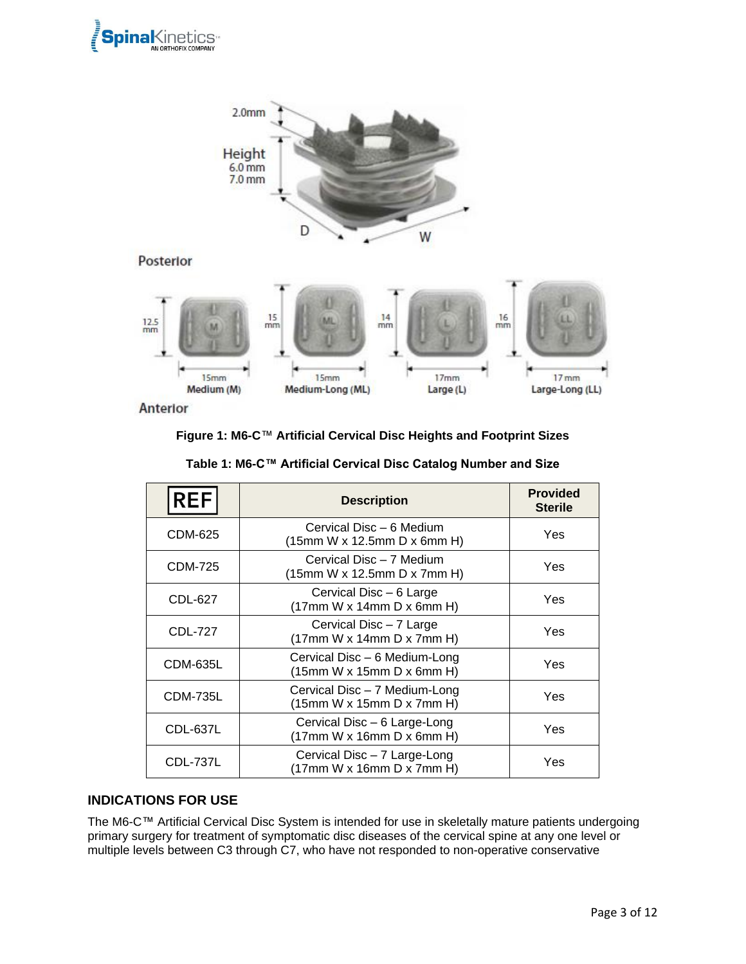



Posterior



<span id="page-2-0"></span>Anterior

#### **Figure 1: M6-C**™ **Artificial Cervical Disc Heights and Footprint Sizes**

<span id="page-2-1"></span>

| <b>REF</b>      | <b>Description</b>                                         | <b>Provided</b><br><b>Sterile</b> |
|-----------------|------------------------------------------------------------|-----------------------------------|
| CDM-625         | Cervical Disc – 6 Medium<br>(15mm W x 12.5mm D x 6mm H)    | Yes                               |
| CDM-725         | Cervical Disc - 7 Medium<br>(15mm W x 12.5mm D x 7mm H)    | Yes                               |
| CDL-627         | Cervical Disc - 6 Large<br>(17mm W x 14mm D x 6mm H)       | Yes                               |
| CDL-727         | Cervical Disc - 7 Large<br>(17mm W x 14mm D x 7mm H)       | Yes                               |
| <b>CDM-635L</b> | Cervical Disc - 6 Medium-Long<br>(15mm W x 15mm D x 6mm H) | Yes                               |
| <b>CDM-735L</b> | Cervical Disc - 7 Medium-Long<br>(15mm W x 15mm D x 7mm H) | Yes                               |
| CDL-637L        | Cervical Disc - 6 Large-Long<br>(17mm W x 16mm D x 6mm H)  | Yes                               |
| <b>CDL-737L</b> | Cervical Disc - 7 Large-Long<br>(17mm W x 16mm D x 7mm H)  | Yes                               |

#### **Table 1: M6-C™ Artificial Cervical Disc Catalog Number and Size**

#### **INDICATIONS FOR USE**

The M6-C™ Artificial Cervical Disc System is intended for use in skeletally mature patients undergoing primary surgery for treatment of symptomatic disc diseases of the cervical spine at any one level or multiple levels between C3 through C7, who have not responded to non-operative conservative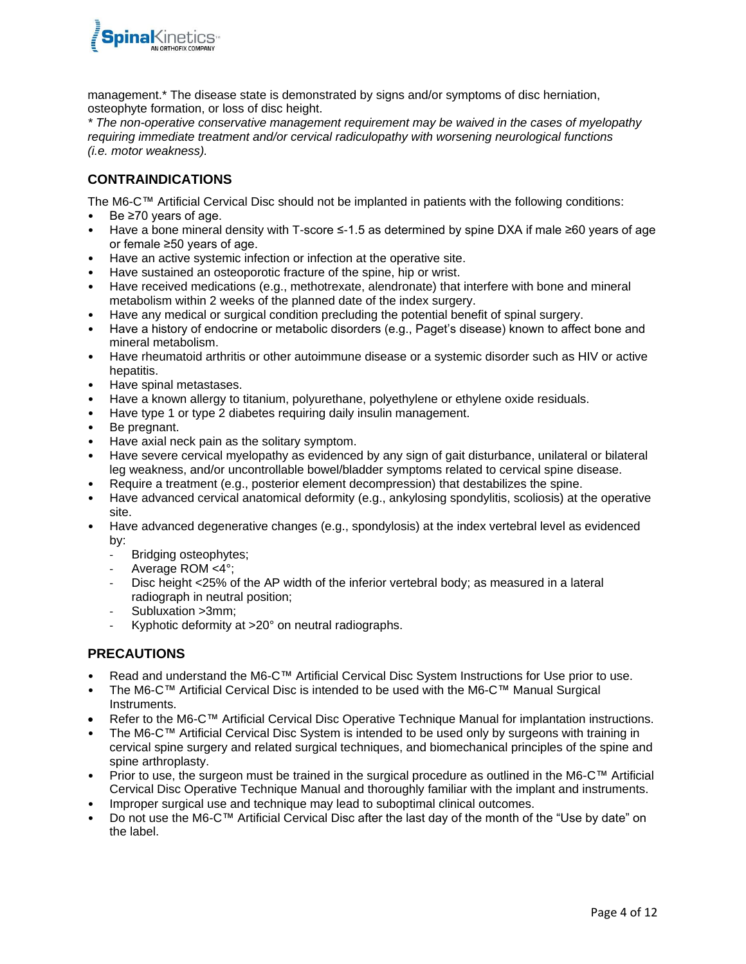

management.\* The disease state is demonstrated by signs and/or symptoms of disc herniation, osteophyte formation, or loss of disc height.

*\* The non-operative conservative management requirement may be waived in the cases of myelopathy requiring immediate treatment and/or cervical radiculopathy with worsening neurological functions (i.e. motor weakness).*

#### **CONTRAINDICATIONS**

The M6-C™ Artificial Cervical Disc should not be implanted in patients with the following conditions:

- Be ≥70 years of age.
- Have a bone mineral density with T-score ≤-1.5 as determined by spine DXA if male ≥60 years of age or female ≥50 years of age.
- Have an active systemic infection or infection at the operative site.
- Have sustained an osteoporotic fracture of the spine, hip or wrist.
- Have received medications (e.g., methotrexate, alendronate) that interfere with bone and mineral metabolism within 2 weeks of the planned date of the index surgery.
- Have any medical or surgical condition precluding the potential benefit of spinal surgery.
- Have a history of endocrine or metabolic disorders (e.g., Paget's disease) known to affect bone and mineral metabolism.
- Have rheumatoid arthritis or other autoimmune disease or a systemic disorder such as HIV or active hepatitis.
- Have spinal metastases.
- Have a known allergy to titanium, polyurethane, polyethylene or ethylene oxide residuals.
- Have type 1 or type 2 diabetes requiring daily insulin management.
- Be pregnant.
- Have axial neck pain as the solitary symptom.
- Have severe cervical myelopathy as evidenced by any sign of gait disturbance, unilateral or bilateral leg weakness, and/or uncontrollable bowel/bladder symptoms related to cervical spine disease.
- Require a treatment (e.g., posterior element decompression) that destabilizes the spine.
- Have advanced cervical anatomical deformity (e.g., ankylosing spondylitis, scoliosis) at the operative site.
- Have advanced degenerative changes (e.g., spondylosis) at the index vertebral level as evidenced by:
	- Bridging osteophytes;
	- Average ROM <4°;
	- Disc height <25% of the AP width of the inferior vertebral body; as measured in a lateral radiograph in neutral position;
	- Subluxation >3mm;
	- Kyphotic deformity at >20° on neutral radiographs.

## **PRECAUTIONS**

- Read and understand the M6-C™ Artificial Cervical Disc System Instructions for Use prior to use.
- The M6-C™ Artificial Cervical Disc is intended to be used with the M6-C™ Manual Surgical Instruments.
- Refer to the M6-C™ Artificial Cervical Disc Operative Technique Manual for implantation instructions.
- The M6-C™ Artificial Cervical Disc System is intended to be used only by surgeons with training in cervical spine surgery and related surgical techniques, and biomechanical principles of the spine and spine arthroplasty.
- Prior to use, the surgeon must be trained in the surgical procedure as outlined in the M6-C™ Artificial Cervical Disc Operative Technique Manual and thoroughly familiar with the implant and instruments.
- Improper surgical use and technique may lead to suboptimal clinical outcomes.
- Do not use the M6-C™ Artificial Cervical Disc after the last day of the month of the "Use by date" on the label.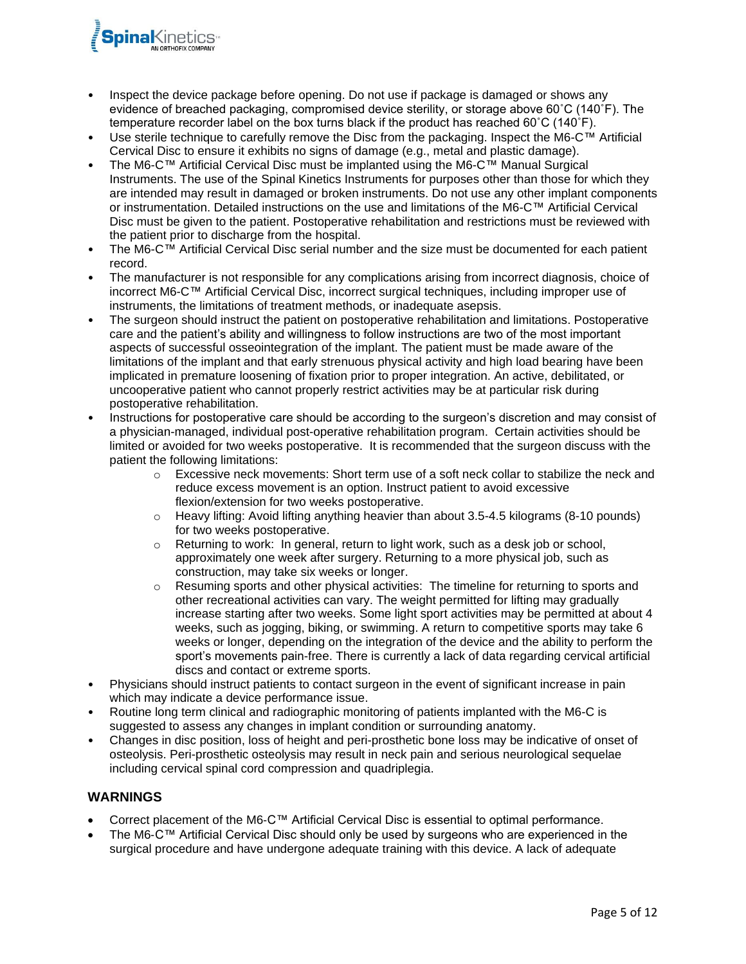

- Inspect the device package before opening. Do not use if package is damaged or shows any evidence of breached packaging, compromised device sterility, or storage above 60˚C (140˚F). The temperature recorder label on the box turns black if the product has reached  $60^{\circ}$ C (140 $^{\circ}$ F).
- Use sterile technique to carefully remove the Disc from the packaging. Inspect the M6-C™ Artificial Cervical Disc to ensure it exhibits no signs of damage (e.g., metal and plastic damage).
- The M6-C™ Artificial Cervical Disc must be implanted using the M6-C™ Manual Surgical Instruments. The use of the Spinal Kinetics Instruments for purposes other than those for which they are intended may result in damaged or broken instruments. Do not use any other implant components or instrumentation. Detailed instructions on the use and limitations of the M6-C™ Artificial Cervical Disc must be given to the patient. Postoperative rehabilitation and restrictions must be reviewed with the patient prior to discharge from the hospital.
- The M6-C™ Artificial Cervical Disc serial number and the size must be documented for each patient record.
- The manufacturer is not responsible for any complications arising from incorrect diagnosis, choice of incorrect M6-C™ Artificial Cervical Disc, incorrect surgical techniques, including improper use of instruments, the limitations of treatment methods, or inadequate asepsis.
- The surgeon should instruct the patient on postoperative rehabilitation and limitations. Postoperative care and the patient's ability and willingness to follow instructions are two of the most important aspects of successful osseointegration of the implant. The patient must be made aware of the limitations of the implant and that early strenuous physical activity and high load bearing have been implicated in premature loosening of fixation prior to proper integration. An active, debilitated, or uncooperative patient who cannot properly restrict activities may be at particular risk during postoperative rehabilitation.
- Instructions for postoperative care should be according to the surgeon's discretion and may consist of a physician-managed, individual post-operative rehabilitation program. Certain activities should be limited or avoided for two weeks postoperative. It is recommended that the surgeon discuss with the patient the following limitations:
	- $\circ$  Excessive neck movements: Short term use of a soft neck collar to stabilize the neck and reduce excess movement is an option. Instruct patient to avoid excessive flexion/extension for two weeks postoperative.
	- o Heavy lifting: Avoid lifting anything heavier than about 3.5-4.5 kilograms (8-10 pounds) for two weeks postoperative.
	- $\circ$  Returning to work: In general, return to light work, such as a desk job or school, approximately one week after surgery. Returning to a more physical job, such as construction, may take six weeks or longer.
	- $\circ$  Resuming sports and other physical activities: The timeline for returning to sports and other recreational activities can vary. The weight permitted for lifting may gradually increase starting after two weeks. Some light sport activities may be permitted at about 4 weeks, such as jogging, biking, or swimming. A return to competitive sports may take 6 weeks or longer, depending on the integration of the device and the ability to perform the sport's movements pain-free. There is currently a lack of data regarding cervical artificial discs and contact or extreme sports.
- Physicians should instruct patients to contact surgeon in the event of significant increase in pain which may indicate a device performance issue.
- Routine long term clinical and radiographic monitoring of patients implanted with the M6-C is suggested to assess any changes in implant condition or surrounding anatomy.
- Changes in disc position, loss of height and peri-prosthetic bone loss may be indicative of onset of osteolysis. Peri-prosthetic osteolysis may result in neck pain and serious neurological sequelae including cervical spinal cord compression and quadriplegia.

## **WARNINGS**

- Correct placement of the M6-C™ Artificial Cervical Disc is essential to optimal performance.
- The M6-C™ Artificial Cervical Disc should only be used by surgeons who are experienced in the surgical procedure and have undergone adequate training with this device. A lack of adequate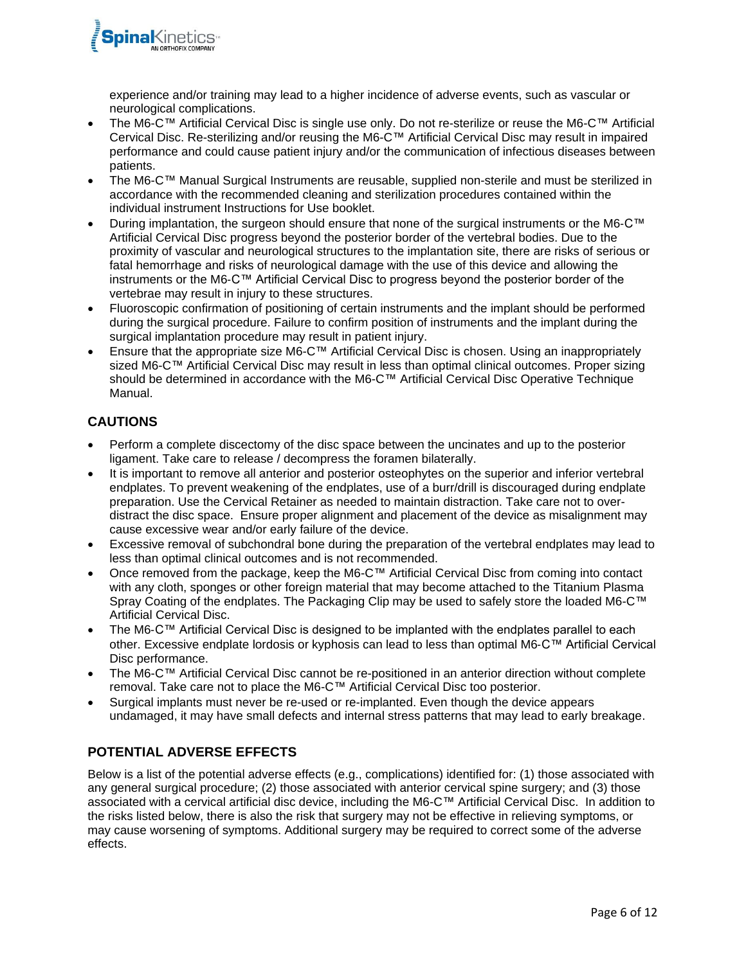

experience and/or training may lead to a higher incidence of adverse events, such as vascular or neurological complications.

- The M6-C™ Artificial Cervical Disc is single use only. Do not re-sterilize or reuse the M6-C™ Artificial Cervical Disc. Re-sterilizing and/or reusing the M6-C™ Artificial Cervical Disc may result in impaired performance and could cause patient injury and/or the communication of infectious diseases between patients.
- The M6-C™ Manual Surgical Instruments are reusable, supplied non-sterile and must be sterilized in accordance with the recommended cleaning and sterilization procedures contained within the individual instrument Instructions for Use booklet.
- During implantation, the surgeon should ensure that none of the surgical instruments or the M6-C™ Artificial Cervical Disc progress beyond the posterior border of the vertebral bodies. Due to the proximity of vascular and neurological structures to the implantation site, there are risks of serious or fatal hemorrhage and risks of neurological damage with the use of this device and allowing the instruments or the M6-C™ Artificial Cervical Disc to progress beyond the posterior border of the vertebrae may result in injury to these structures.
- Fluoroscopic confirmation of positioning of certain instruments and the implant should be performed during the surgical procedure. Failure to confirm position of instruments and the implant during the surgical implantation procedure may result in patient injury.
- Ensure that the appropriate size M6-C™ Artificial Cervical Disc is chosen. Using an inappropriately sized M6-C™ Artificial Cervical Disc may result in less than optimal clinical outcomes. Proper sizing should be determined in accordance with the M6-C™ Artificial Cervical Disc Operative Technique Manual.

# **CAUTIONS**

- Perform a complete discectomy of the disc space between the uncinates and up to the posterior ligament. Take care to release / decompress the foramen bilaterally.
- It is important to remove all anterior and posterior osteophytes on the superior and inferior vertebral endplates. To prevent weakening of the endplates, use of a burr/drill is discouraged during endplate preparation. Use the Cervical Retainer as needed to maintain distraction. Take care not to overdistract the disc space. Ensure proper alignment and placement of the device as misalignment may cause excessive wear and/or early failure of the device.
- Excessive removal of subchondral bone during the preparation of the vertebral endplates may lead to less than optimal clinical outcomes and is not recommended.
- Once removed from the package, keep the M6-C™ Artificial Cervical Disc from coming into contact with any cloth, sponges or other foreign material that may become attached to the Titanium Plasma Spray Coating of the endplates. The Packaging Clip may be used to safely store the loaded M6-C™ Artificial Cervical Disc.
- The M6-C™ Artificial Cervical Disc is designed to be implanted with the endplates parallel to each other. Excessive endplate lordosis or kyphosis can lead to less than optimal M6-C™ Artificial Cervical Disc performance.
- The M6-C™ Artificial Cervical Disc cannot be re-positioned in an anterior direction without complete removal. Take care not to place the M6-C™ Artificial Cervical Disc too posterior.
- Surgical implants must never be re-used or re-implanted. Even though the device appears undamaged, it may have small defects and internal stress patterns that may lead to early breakage.

## **POTENTIAL ADVERSE EFFECTS**

Below is a list of the potential adverse effects (e.g., complications) identified for: (1) those associated with any general surgical procedure; (2) those associated with anterior cervical spine surgery; and (3) those associated with a cervical artificial disc device, including the M6-C™ Artificial Cervical Disc. In addition to the risks listed below, there is also the risk that surgery may not be effective in relieving symptoms, or may cause worsening of symptoms. Additional surgery may be required to correct some of the adverse effects.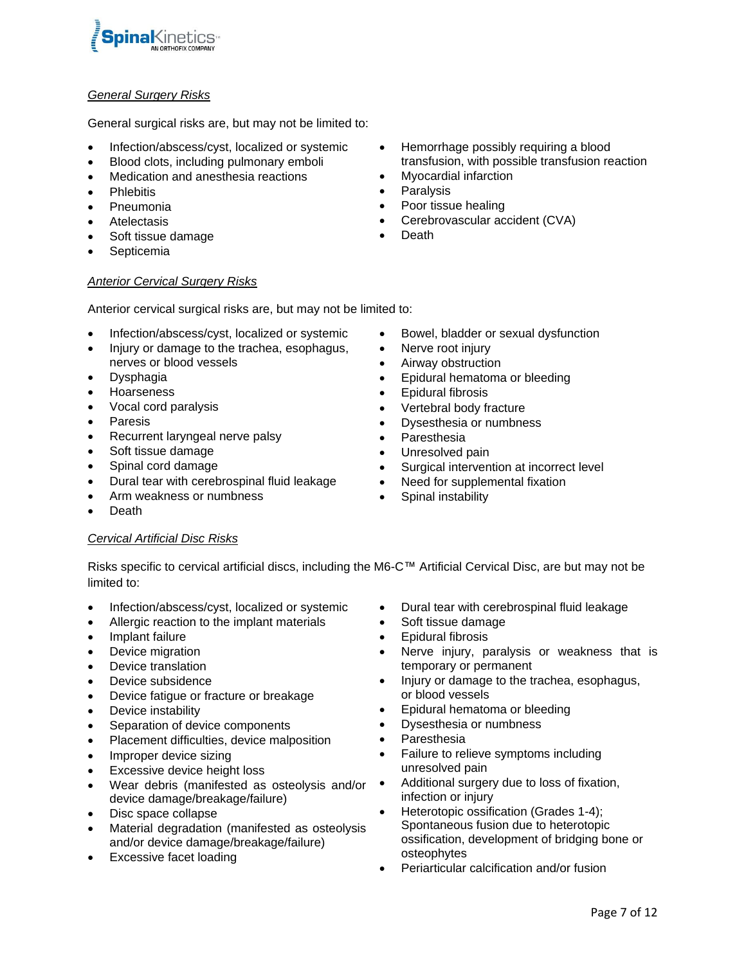

#### *General Surgery Risks*

General surgical risks are, but may not be limited to:

- Infection/abscess/cyst, localized or systemic
- Blood clots, including pulmonary emboli
- Medication and anesthesia reactions
- **Phlebitis**
- Pneumonia
- **Atelectasis**
- Soft tissue damage
- **Septicemia**

#### *Anterior Cervical Surgery Risks*

Anterior cervical surgical risks are, but may not be limited to:

- Infection/abscess/cyst, localized or systemic
- Injury or damage to the trachea, esophagus, nerves or blood vessels
- Dysphagia
- Hoarseness
- Vocal cord paralysis
- **Paresis**
- Recurrent laryngeal nerve palsy
- Soft tissue damage
- Spinal cord damage
- Dural tear with cerebrospinal fluid leakage
- Arm weakness or numbness
- Death

#### *Cervical Artificial Disc Risks*

• Hemorrhage possibly requiring a blood transfusion, with possible transfusion reaction

- Myocardial infarction
- **Paralysis**
- Poor tissue healing
- Cerebrovascular accident (CVA)
- **Death**
- Bowel, bladder or sexual dysfunction
- Nerve root injury
- Airway obstruction
- Epidural hematoma or bleeding
- Epidural fibrosis
- Vertebral body fracture
- Dysesthesia or numbness
- **Paresthesia**
- Unresolved pain
- Surgical intervention at incorrect level
- Need for supplemental fixation
- Spinal instability
- Risks specific to cervical artificial discs, including the M6-C™ Artificial Cervical Disc, are but may not be limited to:
- Infection/abscess/cyst, localized or systemic
- Allergic reaction to the implant materials
- Implant failure
- Device migration
- Device translation
- Device subsidence
- Device fatigue or fracture or breakage
- Device instability
- Separation of device components
- Placement difficulties, device malposition
- Improper device sizing
- **Excessive device height loss**
- Wear debris (manifested as osteolysis and/or . device damage/breakage/failure)
- Disc space collapse
- Material degradation (manifested as osteolysis and/or device damage/breakage/failure)
- **Excessive facet loading**
- Dural tear with cerebrospinal fluid leakage
- Soft tissue damage
- Epidural fibrosis
- Nerve injury, paralysis or weakness that is temporary or permanent
- Injury or damage to the trachea, esophagus, or blood vessels
- Epidural hematoma or bleeding
- Dysesthesia or numbness
- Paresthesia
- Failure to relieve symptoms including unresolved pain
- Additional surgery due to loss of fixation, infection or injury
- Heterotopic ossification (Grades 1-4); Spontaneous fusion due to heterotopic ossification, development of bridging bone or osteophytes
- Periarticular calcification and/or fusion
- 
-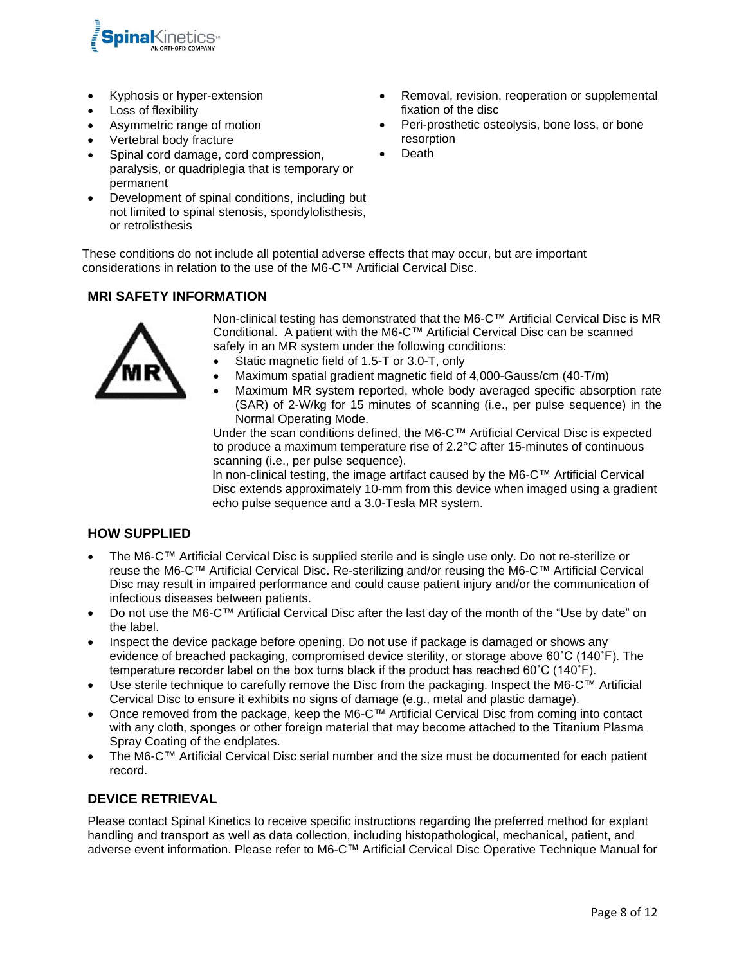

- Kyphosis or hyper-extension
- Loss of flexibility
- Asymmetric range of motion
- Vertebral body fracture
- Spinal cord damage, cord compression, paralysis, or quadriplegia that is temporary or permanent
- Development of spinal conditions, including but not limited to spinal stenosis, spondylolisthesis, or retrolisthesis

These conditions do not include all potential adverse effects that may occur, but are important considerations in relation to the use of the M6-C™ Artificial Cervical Disc.

# **MRI SAFETY INFORMATION**



Non-clinical testing has demonstrated that the M6-C™ Artificial Cervical Disc is MR Conditional. A patient with the M6-C™ Artificial Cervical Disc can be scanned safely in an MR system under the following conditions:

- Static magnetic field of 1.5-T or 3.0-T, only
- Maximum spatial gradient magnetic field of 4,000-Gauss/cm (40-T/m)
- Maximum MR system reported, whole body averaged specific absorption rate (SAR) of 2-W/kg for 15 minutes of scanning (i.e., per pulse sequence) in the Normal Operating Mode.

Under the scan conditions defined, the M6-C™ Artificial Cervical Disc is expected to produce a maximum temperature rise of 2.2°C after 15-minutes of continuous scanning (i.e., per pulse sequence).

In non-clinical testing, the image artifact caused by the M6-C™ Artificial Cervical Disc extends approximately 10-mm from this device when imaged using a gradient echo pulse sequence and a 3.0-Tesla MR system.

## **HOW SUPPLIED**

- The M6-C™ Artificial Cervical Disc is supplied sterile and is single use only. Do not re-sterilize or reuse the M6-C™ Artificial Cervical Disc. Re-sterilizing and/or reusing the M6-C™ Artificial Cervical Disc may result in impaired performance and could cause patient injury and/or the communication of infectious diseases between patients.
- Do not use the M6-C™ Artificial Cervical Disc after the last day of the month of the "Use by date" on the label.
- Inspect the device package before opening. Do not use if package is damaged or shows any evidence of breached packaging, compromised device sterility, or storage above 60˚C (140˚F). The temperature recorder label on the box turns black if the product has reached 60˚C (140˚F).
- Use sterile technique to carefully remove the Disc from the packaging. Inspect the M6-C™ Artificial Cervical Disc to ensure it exhibits no signs of damage (e.g., metal and plastic damage).
- Once removed from the package, keep the M6-C™ Artificial Cervical Disc from coming into contact with any cloth, sponges or other foreign material that may become attached to the Titanium Plasma Spray Coating of the endplates.
- The M6-C™ Artificial Cervical Disc serial number and the size must be documented for each patient record.

## **DEVICE RETRIEVAL**

Please contact Spinal Kinetics to receive specific instructions regarding the preferred method for explant handling and transport as well as data collection, including histopathological, mechanical, patient, and adverse event information. Please refer to M6-C™ Artificial Cervical Disc Operative Technique Manual for

- Removal, revision, reoperation or supplemental fixation of the disc
- Peri-prosthetic osteolysis, bone loss, or bone resorption
- Death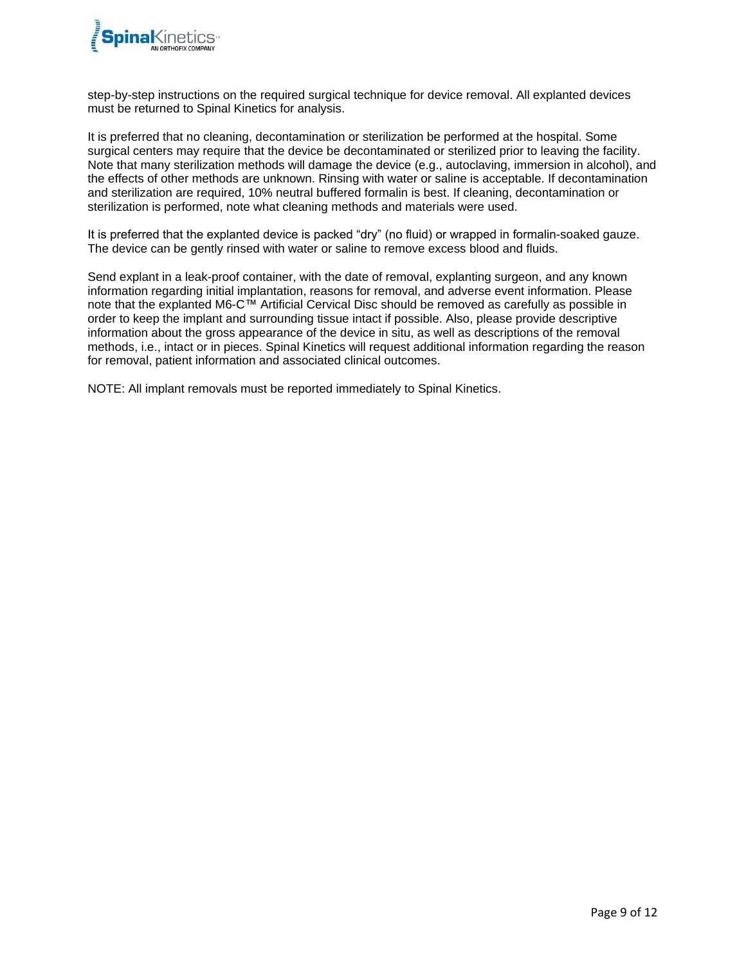

step-by-step instructions on the required surgical technique for device removal. All explanted devices must be returned to Spinal Kinetics for analysis.

It is preferred that no cleaning, decontamination or sterilization be performed at the hospital. Some surgical centers may require that the device be decontaminated or sterilized prior to leaving the facility. Note that many sterilization methods will damage the device (e.g., autoclaving, immersion in alcohol), and the effects of other methods are unknown. Rinsing with water or saline is acceptable. If decontamination and sterilization are required, 10% neutral buffered formalin is best. If cleaning, decontamination or sterilization is performed, note what cleaning methods and materials were used.

It is preferred that the explanted device is packed "dry" (no fluid) or wrapped in formalin-soaked gauze. The device can be gently rinsed with water or saline to remove excess blood and fluids.

Send explant in a leak-proof container, with the date of removal, explanting surgeon, and any known information regarding initial implantation, reasons for removal, and adverse event information. Please note that the explanted M6-C™ Artificial Cervical Disc should be removed as carefully as possible in order to keep the implant and surrounding tissue intact if possible. Also, please provide descriptive information about the gross appearance of the device in situ, as well as descriptions of the removal methods, i.e., intact or in pieces. Spinal Kinetics will request additional information regarding the reason for removal, patient information and associated clinical outcomes.

NOTE: All implant removals must be reported immediately to Spinal Kinetics.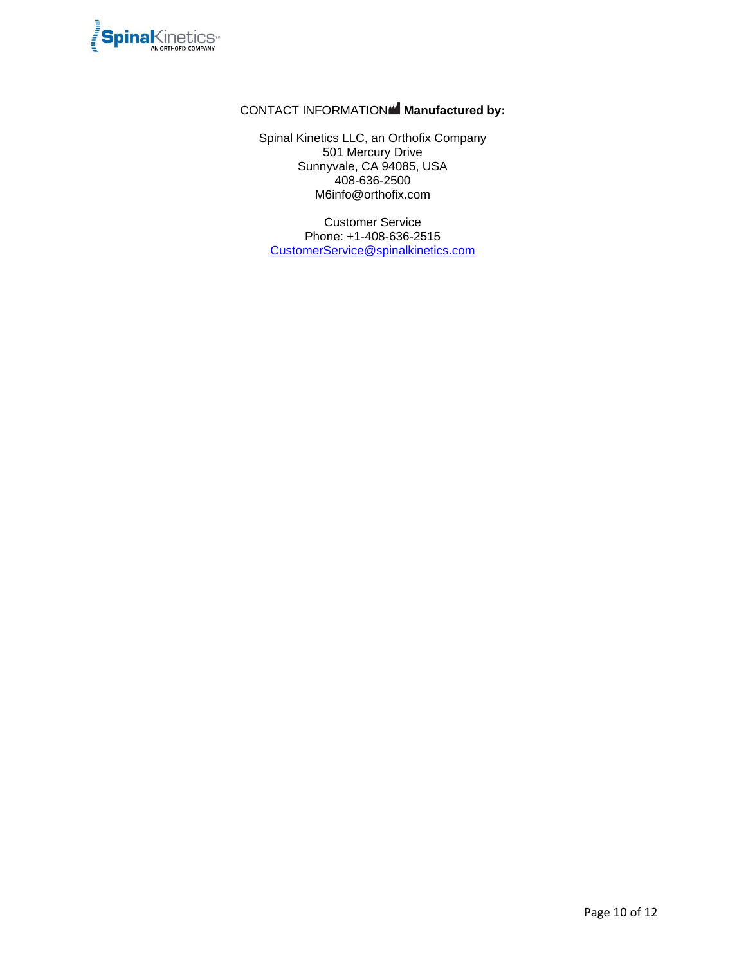

# CONTACT INFORMATION **Manufactured by:**

Spinal Kinetics LLC, an Orthofix Company 501 Mercury Drive Sunnyvale, CA 94085, USA 408-636-2500 M6info@orthofix.com

Customer Service Phone: +1-408-636-2515 [CustomerService@spinalkinetics.com](mailto:CustomerService@spinalkinetics.com)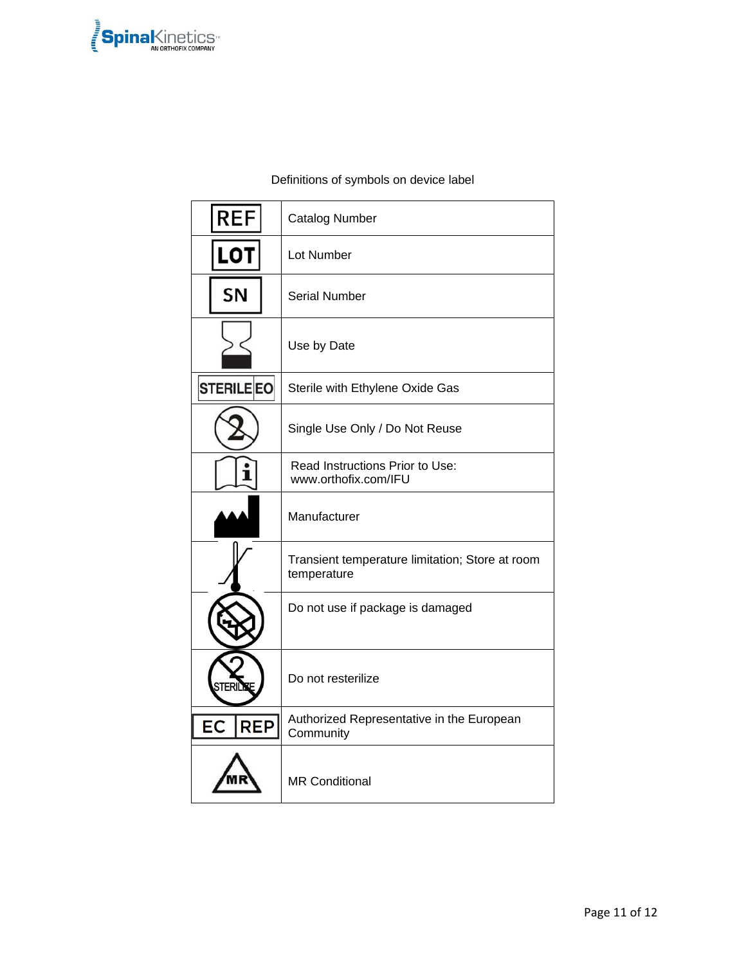

# Definitions of symbols on device label

| <b>REF</b>              | <b>Catalog Number</b>                                          |
|-------------------------|----------------------------------------------------------------|
| <b>LOT</b>              | Lot Number                                                     |
| SN                      | <b>Serial Number</b>                                           |
|                         | Use by Date                                                    |
| <b>STERILEEO</b>        | Sterile with Ethylene Oxide Gas                                |
|                         | Single Use Only / Do Not Reuse                                 |
| Т                       | Read Instructions Prior to Use:<br>www.orthofix.com/IFU        |
|                         | Manufacturer                                                   |
|                         | Transient temperature limitation; Store at room<br>temperature |
|                         | Do not use if package is damaged                               |
|                         | Do not resterilize                                             |
| <b>REP</b><br><b>EC</b> | Authorized Representative in the European<br>Community         |
|                         | <b>MR Conditional</b>                                          |